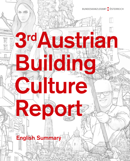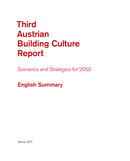# **Third** Austrian Building Culture Report

Scenarios and Strategies for 2050

English Summary

Vienna, 2017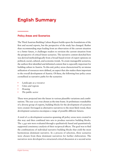# English Summary

# Policy Areas and Scenarios

The Third Austrian Building Culture Report builds upon the foundations of the first and second reports, but the perspective of the study has changed. Rather than recommending steps leading from an observation of the current situation to a better future, it challenges readers to envision the current situation from the perspective of critical future scenarios. The narrative content sketched here was derived methodologically from a broad-based review of expert opinions on political, social, cultural, and economic trends. To create manageable scenarios, the authors first identified and delimited content that is especially important for building culture in Austria. To this end, policy areas characterized by an intense utilization of resources were defined, an aspect that also makes them important to the overall development of Austria. Of these, the following four policy areas crystallized as narrative paths for the scenarios:

- **•** *Landscape as a resource*
- **•** *Cities and regions*
- **•** *Housing*
- **•** *The public sector*

These were projected into the future in various plausible variations and combinations. The year 2050 was chosen as the time frame.At preliminary roundtables of a diverse group of experts, building blocks for the development of scenarios were created. Envisaged as alternative narratives to the most likely trend, these development scenarios encompass a range of possible different futures.

A total of 22 development scenarios spanning all policy areas were created in this way and then combined into sets to produce narrative building blocks. The 1,440 sets were evaluated through a qualitatively based and quantitatively supported consistency analysis of their reciprocal effects. The goal was to find the combinations of individual narrative building blocks that yield the most harmonious dominant narrative. In a process of selection, three scenarios were chosen from these dominant narratives for further elaboration. The narratives were developed in a structured critical discussion at a second series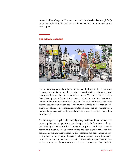of roundtables of experts. The scenarios could thus be sketched out *globally*, *integrally,* and *nationally*, and then concluded in a final round of consultation with experts.

# The *Global* Scenario



This scenario is premised on the dominant role of a liberalized and globalized economy. In Austria, the state has continued to perform its legislative and leadership functions within a very narrow framework. The social fabric is largely determined by market forces. It is assumed that imbalances in both income and wealth distribution have continued to grow. Due to the anticipated economic growth, assurance of certain social minimum standards by the state, and the availability of inexpensive energy, raw materials, food, and labor on the global market, larger segments of the population have been prevented from falling into poverty.

The landscape is seen primarily along high-usage traffic corridors and is characterized by the interchange of functionally separated suburban zones and areas used entirely for agricultural and industrial purposes. Landscapes are often represented digitally. The upper timberline has risen significantly. Even high alpine areas are now free of glaciers. The landscape has been shaped in parts by the demands of tourism. Targets for climate protection and biodiversity have been extensively weakened after international debate. Space is configured by the convergence of conurbations and large-scale areas used intensively for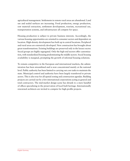agricultural management. Settlements in remote rural areas are abandoned. Land use and sealed surfaces are increasing. Food production, energy production, raw material extraction, settlement development, tourism, recreational use, transportation systems, and infrastructure all compete for space.

Housing production is subject to private business interests. Accordingly, the various housing opportunities are oriented to consumer sectors and dependent on location. High-density development has built up in central locations. Peripheral and rural areas are extensively developed. New construction has brought about great transformations. Existing buildings are preserved only in the luxury sector. Social groups are highly segregated. Only the high-end sectors offer customization, with standardized housing predominating the middle sectors. Social housing availability is marginal, prompting the growth of informal housing solutions.

To remain competitive in the European and international markets, the administration has been streamlined and is now concentrated mainly at the national level. Public authority has been limited to carrying out core tasks to maintain the state. Municipal control and authority have been largely transferred to private actors. This is also true for all spatial zoning and construction agendas. Building projects are carried out by a few international corporations acting as general and total contractors. The mid-market design scene has shrunk to a mere handful of offices specializing in the preservation of local built heritage. Internationally renowned architects are invited to compete for high-profile projects.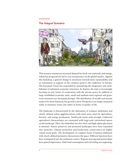# The *Integral* Scenario



This scenario assumes an increased demand for food, raw materials, and energy, which has progressively led to cost transparency on the global market. Against this backdrop, a general change in awareness towards more sustainability and an orientation in support of the common good is also underway in Europe. The European Union has responded by intensifying the integration and establishment of subsistent economic structures. In Austria, the state is increasingly focusing on new forms of cooperation with the private sector. In addition to large established economic units, small and medium-sized regional and grassroots structures are becoming stronger. The distribution of wealth and income tends to be more balanced, but growth is slow. Prosperity is no longer measured solely in monetary terms, but rather in terms of quality of life.

The landscape is characterized by the alternation of compact settlements and clearly defined urban agglomerations with land areas used for agriculture, forestry, and energy production. Small-scale farms with strongly traditional agricultural characteristics are contrasted with large-scale rationalized spaces on the landscape. Here, the timberline has also risen, and high-alpine glaciation is minimal. Nature preserves and protected landscapes have been expanded into networks. Climate protection and biodiversity conservation are highly valued social goals. The development of compact forms of human settlement with clearly defined perimeters characterizes the space. Different functions have been reintegrated into the settlement centers. Regions and regional partnerships have gained importance, while land consumption and soil sealing are stagnating.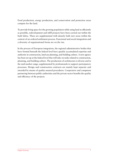Food production, energy production, and conservation and protection areas compete for the land.

To provide living space for the growing population while using land as efficiently as possible, redevelopment and infill projects have been carried out within the built fabric. These are supplemented with densely built new areas within the context of an ordered settlement process. Functional and social integration and a diversity of organizational forms are on the rise.

In the process of European integration, the regional administrative bodies that have formed beneath the federal level have quickly accumulated expertise and authority in construction, land use planning, and building culture. A new agency has been set up at the federal level that will take on tasks related to construction, planning, and building culture. The production of architecture is diverse and in the mid-market range, supplemented by professionals to support participatory processes. Design and construction contracts are mainly kept separate and awarded by means of quality-assured procedures. Cooperative and competent partnering between public authorities and the private sector benefits the quality and efficiency of the projects.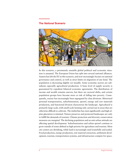# The *National* Scenario



In this scenario, a persistently unstable global political and economic situation is assumed. The European Union has split into several national alliances. Austria has left the EU in this scenario, and now increasingly focuses on national governance and control, as well as strict limits on migration of any kind. The population is decreasing slightly yet steadily. Some economic sectors are subsidized, especially agricultural production. A basic level of supply security is guaranteed by expedient bilateral economic agreements. The distribution of income and wealth remains uneven, but there are sectoral shifts, and certain population groups have become more at risk of falling into poverty. Consequently, society has increasingly been segregated by class divisions. Motorized personal transportation, suburbanization, sprawl, energy and raw materials production, and functional division characterize the landscape. Agricultural is primarily large-scale, with small-scale farming only carried out in areas that are otherwise difficult to cultivate. The timberline has risen significantly and high-alpine glaciation is minimal. Nature preserves and protected landscapes are only to fulfill the demands of tourism. Climate protection and diversity conservation measures are marginal. The declining population and an anti-urban attitude are affecting spatial development. Suburbanization and urban sprawl continue to grow outside of zones defined as high-priority for agriculture and tourism. Most city centers are shrinking, while land is increasingly used wastefully and sealed. Food production, energy production, raw material extraction, settlement development, tourism, transportation systems, and infrastructure compete for space.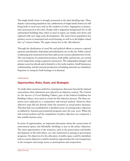The single-family home is strongly promoted as the ideal dwelling type. Thus, despite a decreasing population rate, subdivisions of single-family homes are still being built in rural areas and on the outskirts of cities. Segregation is particularly pronounced in the cities. People with a migration background live in old substandard buildings that, when in need of repair, are simply torn down and replaced with new large-scale developments. The native-born population has primary access to municipal and social housing, as well as to the higher-valued late 19th-century homes. The upper classes live in the villa districts.

Through the idealization of rural life and political efforts to preserve regional patterns and identities, federalism and subsidiarity are on the rise. Public control of planning and construction has been split across various administrative levels. The vast majority of construction projects, both public and private, are carried out by large firms acting as general contractors. The independent designer and planner scene has shrunk and is limited to a few niche markets. Small businesses, craftsmanship, and the national production of building materials are subsidized. Expertise in caring for built heritage is in demand.

### Opportunities, Risks, Goals, and Strategies

To render these scenarios useful for contemporary discourse beyond the induced associations, their statements were placed in an objective context. The *Criteria for the Success of Good Building Culture*, part of the Federal Guidelines for Building Culture, were used as a basis for this objective process. The three scenarios were subjected to a comparative risk-reward analysis. However, these objective steps did not directly relate the scenarios to actual policy measures. This final link was established by a detailed review of existing policy objectives as defined by Austrian governmental programs since the year 2000. When the risk-reward analysis and the compilation of policy objectives are compared, a few notable features arise:

In terms of opportunities, an important discussion about the conservation of semi-natural spaces and affordable dwellings is seen in the policy objectives. The main opportunities in the scenarios, such as the preservation and further development of the built fabric, are only mentioned in passing in government programs. No objectives for the allocation of public space could be identified, and no concise objectives could be found for opportunities for cost transparency in the transport and energy sector or participation and cooperation.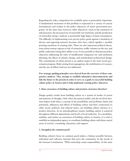Regarding the risks, competition for available space is particularly important. A fundamental awareness of this problem is expressed in a variety of concise formulations and evident in the policy objectives of newer government programs. At the same time, however, other objectives—such as the expansion of infrastructure, the increased use of renewable raw materials, and the production of renewable energy—indicate a persistently high degree of land consumption. The difficulty of implementing even precise policy goals against a backdrop of diverse and opposing interests becomes clear here, which signifies a steadily growing escalation of existing risks. There are also important political discussions about remote regions at risk of extinction, traffic volumes on the rise, and public authorities losing their ability to act. It was possible to find precise policy objectives addressing the risks of insufficiently integrated city and settlement planning, the effects of climate change, and standardized architectural design. The containment of urban sprawl is an explicit target in the most recent government program. Risks arising from segregation, the mobilization of vacancy, and the use of fallow land are not addressed.

**Five strategic guiding principles were derived from the overview of these comparative analyses. They attempt to establish substantive interconnections and link the future to the present in order to serve as a guide to successful building culture policy in Austria and to help implement existing policy objectives.** 

#### **1. Raise awareness of building culture and promote structures therefore!**

Design quality results from building culture as a system of modes of action and patterns of thought. Only when the general public and the involved decision-makers both share a concept of the possibilities and problems, limits and potentials, influences and effects of building culture and their connections to other social, political, and cultural issues, can building culture advance in a positive direction. As an interdisciplinary matter, building culture is scattered throughout different departments and levels of local authority. To consolidate, stabilize, and anchor an awareness of building culture in Austria, it is vital to establish an independent agency to coordinate building culture with these central areas of activity: consulting, education, and support.

#### **2. Strengthen the common good!**

Building culture's focus on common good makes a balance possible between individual and collective interests that serve the community. In the words of the German Constitution: "With ownership comes responsibility. At the same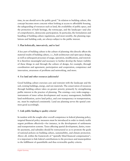time, its use should serve the public good." In relation to building culture, this concept becomes more concrete when looking at access to affordable housing, the safeguarding of resources such as land, the availability of public space, and the protection of built heritage, the townscape, and the landscape—and also of comprehensive, democratic participation. In particular, the formulation and handling of building culture regulations, and most notably, the planning regulations and building code, are always subject to the public interest.

#### **3. Plan holistically, innovatively, and to last!**

A key part of building culture is the culture of planning: this directly affects the material results of building culture, i. e., built architecture and open space design, as well as subsequent processes of usage, operation, modifications, and renewal. It is therefore meaningful and necessary to further develop the future viability of these things in and through the culture of design, for example, through coordination and agreement, participation and cooperation, competence and innovation, awareness of problems and networking, and more.

#### **4. Use land and other resources judiciously!**

Good building culture exercises care and restraint with the landscape and the soil, existing buildings, energy, and raw materials. The conservation of resources through building culture takes on greater priority primarily by strengthening public interest in the practice of planning. The existing—very wide-ranging instruments of inner urban development and vacancy management, buildable land mobilization, active land policy, and cost transparency in transportation, etc. must be employed consistently. Land use planning serves the spatial common good accordingly.

#### **5. Link public funding to quality criteria!**

In tandem with the sought-after overall competence in federal planning policy, targeted financial policy measures must be introduced in order to timely tackle urgent problems effectively—for instance, in the development of settlements and transportation systems. Taxes affecting spatial development, duties, transfer payments, and subsidies should be restructured so as to promote the goals of national policies on building culture, sustainability, and climate protection. Above all, within the framework of "spatially blind financial compensation", it is important to link federal contributions to the provinces and municipalities to the fulfillment of quantifiable and thus reviewable quality criteria.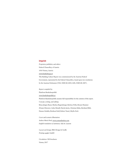#### Imprint

*Proprietor, publisher, and editor:*  Federal Chancellery of Austria 1010 Vienna, Austria www.baukultur.gv.at This Building Culture Report was commissioned by the Austrian Federal Government, represented by the Federal Chancellery, based upon two resolutions by the Austrian Parliament (91/E, XXII GP, 2005; 42/E, XXII GP, 2007).

#### *Report compiled by:*

Plattform Baukulturpolitik www.baukulturpolitik.at Plattform Baukulturpolitik assumes full responsibility for the contents of this report. *Concept, writing, and editing:*  Klaus-Jürgen Bauer, Markus Bogensberger, Barbara Feller, Renate Hammer (Project Director), Gabu Heindl, Patrick Jaritz, Christian Kühn, Bernhard Rihl, Hannes Schaffer, Reinhard Seiß, Robert Temel, Sibylla Zech

*Cover and scenario illustration:*  Andrea Maria Dusl, www.comandantina.com *English translation of summary:* Ada St. Laurent

*Layout and design:* BKA Design & Grafik *Printing:* gugler GmbH

*Circulation:* 500 brochures Vienna, 2017